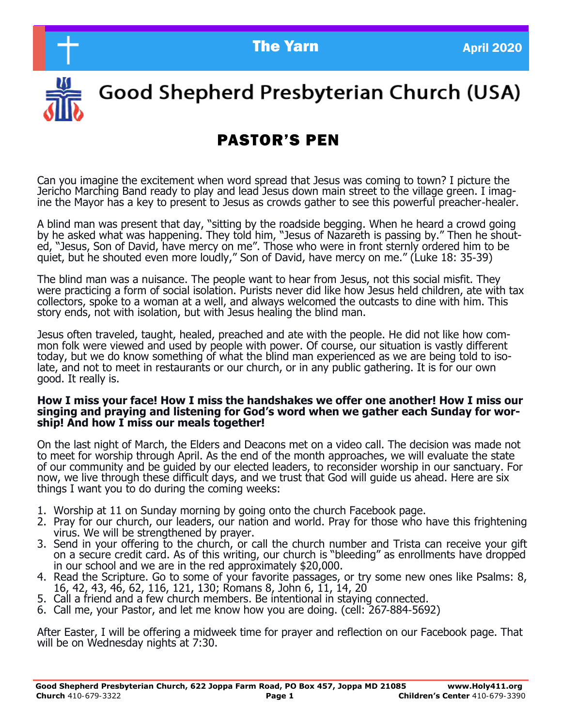**The Yarn April 2020** 



# Good Shepherd Presbyterian Church (USA)

## PASTOR'S PEN

Can you imagine the excitement when word spread that Jesus was coming to town? I picture the Jericho Marching Band ready to play and lead Jesus down main street to the village green. I imagine the Mayor has a key to present to Jesus as crowds gather to see this powerful preacher-healer.

A blind man was present that day, "sitting by the roadside begging. When he heard a crowd going by he asked what was happening. They told him, "Jesus of Nazareth is passing by." Then he shouted, "Jesus, Son of David, have mercy on me". Those who were in front sternly ordered him to be quiet, but he shouted even more loudly," Son of David, have mercy on me." (Luke 18: 35-39)

The blind man was a nuisance. The people want to hear from Jesus, not this social misfit. They were practicing a form of social isolation. Purists never did like how Jesus held children, ate with tax collectors, spoke to a woman at a well, and always welcomed the outcasts to dine with him. This story ends, not with isolation, but with Jesus healing the blind man.

Jesus often traveled, taught, healed, preached and ate with the people. He did not like how common folk were viewed and used by people with power. Of course, our situation is vastly different today, but we do know something of what the blind man experienced as we are being told to isolate, and not to meet in restaurants or our church, or in any public gathering. It is for our own good. It really is.

#### **How I miss your face! How I miss the handshakes we offer one another! How I miss our singing and praying and listening for God's word when we gather each Sunday for worship! And how I miss our meals together!**

On the last night of March, the Elders and Deacons met on a video call. The decision was made not to meet for worship through April. As the end of the month approaches, we will evaluate the state of our community and be guided by our elected leaders, to reconsider worship in our sanctuary. For now, we live through these difficult days, and we trust that God will guide us ahead. Here are six things I want you to do during the coming weeks:

- 1. Worship at 11 on Sunday morning by going onto the church Facebook page.
- 2. Pray for our church, our leaders, our nation and world. Pray for those who have this frightening virus. We will be strengthened by prayer.
- 3. Send in your offering to the church, or call the church number and Trista can receive your gift on a secure credit card. As of this writing, our church is "bleeding" as enrollments have dropped in our school and we are in the red approximately \$20,000.
- 4. Read the Scripture. Go to some of your favorite passages, or try some new ones like Psalms: 8, 16, 42, 43, 46, 62, 116, 121, 130; Romans 8, John 6, 11, 14, 20
- 5. Call a friend and a few church members. Be intentional in staying connected.
- 6. Call me, your Pastor, and let me know how you are doing. (cell: 267-884-5692)

After Easter, I will be offering a midweek time for prayer and reflection on our Facebook page. That will be on Wednesday nights at 7:30.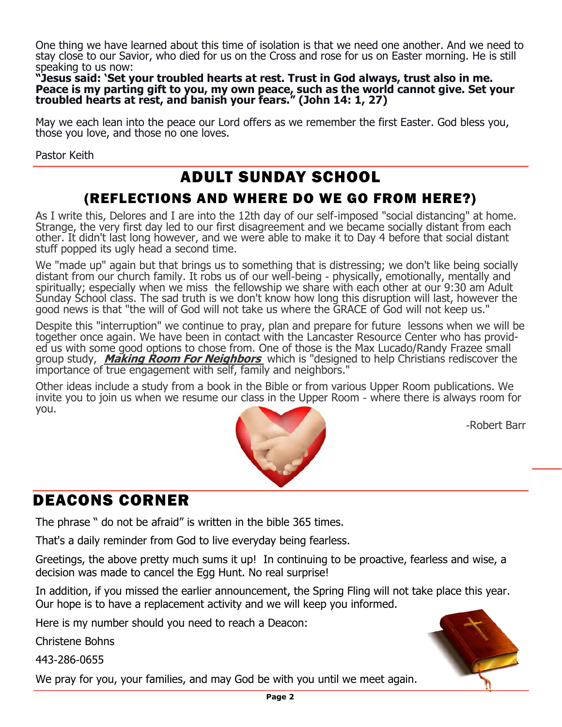One thing we have learned about this time of isolation is that we need one another. And we need to stay close to our Savior, who died for us on the Cross and rose for us on Easter morning. He is still speaking to us now:

**"Jesus said: 'Set your troubled hearts at rest. Trust in God always, trust also in me. Peace is my parting gift to you, my own peace, such as the world cannot give. Set your troubled hearts at rest, and banish your fears." (John 14: 1, 27)**

May we each lean into the peace our Lord offers as we remember the first Easter. God bless you, those you love, and those no one loves.

Pastor Keith

## ADULT SUNDAY SCHOOL

#### (REFLECTIONS AND WHERE DO WE GO FROM HERE?)

As I write this, Delores and I are into the 12th day of our self-imposed "social distancing" at home. Strange, the very first day led to our first disagreement and we became socially distant from each other. It didn't last long however, and we were able to make it to Day 4 before that social distant stuff popped its ugly head a second time.

We "made up" again but that brings us to something that is distressing; we don't like being socially distant from our church family. It robs us of our well-being - physically, emotionally, mentally and spiritually; especially when we miss the fellowship we share with each other at our 9:30 am Adult Sunday School class. The sad truth is we don't know how long this disruption will last, however the good news is that "the will of God will not take us where the GRACE of God will not keep us."

Despite this "interruption" we continue to pray, plan and prepare for future lessons when we will be together once again. We have been in contact with the Lancaster Resource Center who has provided us with some good options to chose from. One of those is the Max Lucado/Randy Frazee small group study, **Making Room For Neighbors** which is "designed to help Christians rediscover the importance of true engagement with self, family and neighbors."

Other ideas include a study from a book in the Bible or from various Upper Room publications. We invite you to join us when we resume our class in the Upper Room - where there is always room for you.



-Robert Barr

## DEACONS CORNER

The phrase " do not be afraid" is written in the bible 365 times.

That's a daily reminder from God to live everyday being fearless.

Greetings, the above pretty much sums it up! In continuing to be proactive, fearless and wise, a decision was made to cancel the Egg Hunt. No real surprise!

In addition, if you missed the earlier announcement, the Spring Fling will not take place this year. Our hope is to have a replacement activity and we will keep you informed.

Here is my number should you need to reach a Deacon:

Christene Bohns

443-286-0655

We pray for you, your families, and may God be with you until we meet again.

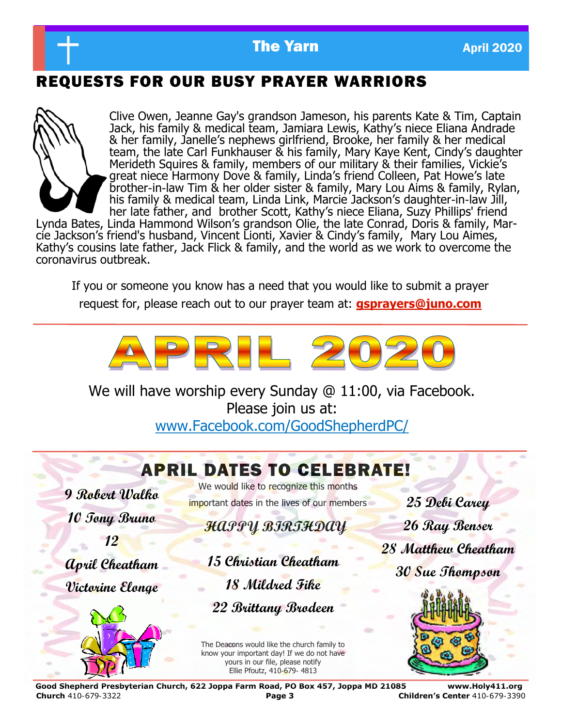

## REQUESTS FOR OUR BUSY PRAYER WARRIORS



Clive Owen, Jeanne Gay's grandson Jameson, his parents Kate & Tim, Captain Jack, his family & medical team, Jamiara Lewis, Kathy's niece Eliana Andrade & her family, Janelle's nephews girlfriend, Brooke, her family & her medical team, the late Carl Funkhauser & his family, Mary Kaye Kent, Cindy's daughter Merideth Squires & family, members of our military & their families, Vickie's great niece Harmony Dove & family, Linda's friend Colleen, Pat Howe's late brother-in-law Tim & her older sister & family, Mary Lou Aims & family, Rylan, his family & medical team, Linda Link, Marcie Jackson's daughter-in-law Jill, her late father, and brother Scott, Kathy's niece Eliana, Suzy Phillips' friend

Lynda Bates, Linda Hammond Wilson's grandson Olie, the late Conrad, Doris & family, Marcie Jackson's friend's husband, Vincent Lionti, Xavier & Cindy's family, Mary Lou Aimes, Kathy's cousins late father, Jack Flick & family, and the world as we work to overcome the coronavirus outbreak.

If you or someone you know has a need that you would like to submit a prayer request for, please reach out to our prayer team at: **gsprayers@juno.com**



We will have worship every Sunday @ 11:00, via Facebook. Please join us at: www.Facebook.com/GoodShepherdPC/

# APRIL DATES TO CELEBRATE!

**9 Robert Walko 10 Tony Bruno 12 April Cheatham Victorine Elonge**



We would like to recognize this months important dates in the lives of our members

## **HAPPY BIRTHDAY**

**15 Christian Cheatham 18 Mildred Fike 22 Brittany Brodeen**

The Deacons would like the church family to know your important day! If we do not have yours in our file, please notify Ellie Pfoutz, 410-679- 4813

**25 Debi Carey 26 Ray Benser 28 Matthew Cheatham 30 Sue Thompson**



**Good Shepherd Presbyterian Church, 622 Joppa Farm Road, PO Box 457, Joppa MD 21085 www.Holy411.org Church** 410-679-3322 **Page 3 Children's Center** 410-679-3390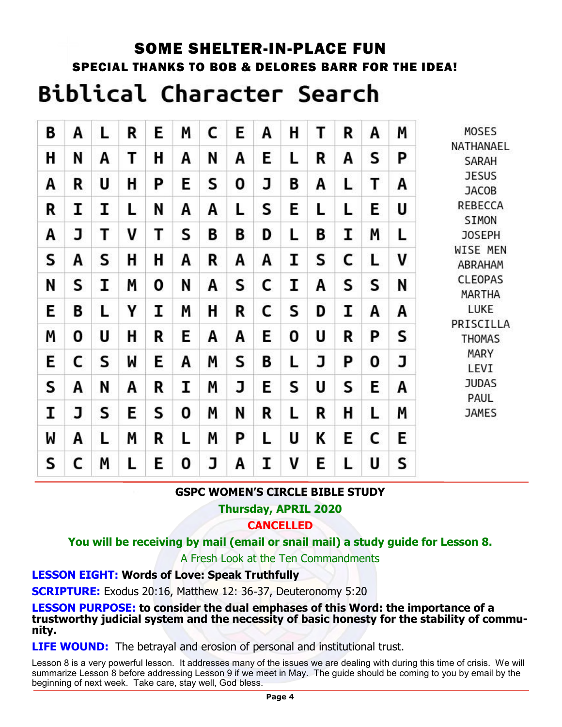# SOME SHELTER-IN-PLACE FUN SPECIAL THANKS TO BOB & DELORES BARR FOR THE IDEA! **Biblical Character Search**

| В | Α | L | R | Ε | Μ | С | E | A | Η | Τ | R | А | M | <b>MOSES</b>                                                                                      |
|---|---|---|---|---|---|---|---|---|---|---|---|---|---|---------------------------------------------------------------------------------------------------|
| Η | N | A | Τ | H | Α | N | A | E | L | R | A | S | P | NATHANAEL<br><b>SARAH</b>                                                                         |
| Α | R | U | H | Ρ | E | S | 0 | J | B | Α | ь | Т | А | <b>JESUS</b><br><b>JACOB</b><br><b>REBECCA</b><br>SIMON<br><b>JOSEPH</b>                          |
| R | I | I | Ŀ | N | Α | A | L | S | E | L | L | Е | U |                                                                                                   |
| Α | J | Т | V | Τ | S | B | B | D | L | B | I | Μ | L |                                                                                                   |
| S | А | S | H | Η | Α | R | Α | A | I | S | C | L | V | WISE MEN<br>ABRAHAM                                                                               |
| N | S | I | M | 0 | N | A | S | C | I | A | S | S | N | <b>CLEOPAS</b><br>MARTHA                                                                          |
| E | B | L | Υ | I | Μ | H | R | C | S | D | I | Α | Α | LUKE<br>PRISCILLA<br><b>THOMAS</b><br><b>MARY</b><br>LEVI<br><b>JUDAS</b><br>PAUL<br><b>JAMES</b> |
| Μ | 0 | U | н | R | Ε | A | Α | E | 0 | U | R | P | S |                                                                                                   |
| E | C | S | W | Е | Α | Μ | S | B | L | J | P | 0 | J |                                                                                                   |
| S | Α | N | А | R | I | M | J | E | S | U | S | E | Α |                                                                                                   |
| I | J | S | E | S | 0 | M | N | R | L | R | н | L | Μ |                                                                                                   |
| W | Α | L | Μ | R | L | Μ | P | L | U | K | Ε | C | E |                                                                                                   |
| S | C | M | L | Ε | 0 | J | A | I | V | Ε |   | U | S |                                                                                                   |

#### **GSPC WOMEN'S CIRCLE BIBLE STUDY**

**Thursday, APRIL 2020** 

**CANCELLED**

**You will be receiving by mail (email or snail mail) a study guide for Lesson 8.** 

A Fresh Look at the Ten Commandments

#### **LESSON EIGHT: Words of Love: Speak Truthfully**

**SCRIPTURE:** Exodus 20:16, Matthew 12: 36-37, Deuteronomy 5:20

**LESSON PURPOSE: to consider the dual emphases of this Word: the importance of a trustworthy judicial system and the necessity of basic honesty for the stability of community.** 

**LIFE WOUND:** The betrayal and erosion of personal and institutional trust.

Lesson 8 is a very powerful lesson. It addresses many of the issues we are dealing with during this time of crisis. We will summarize Lesson 8 before addressing Lesson 9 if we meet in May. The guide should be coming to you by email by the beginning of next week. Take care, stay well, God bless.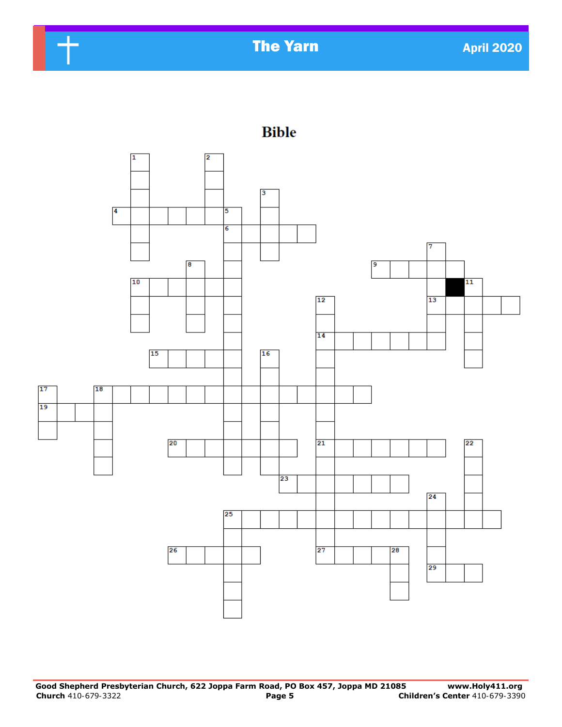